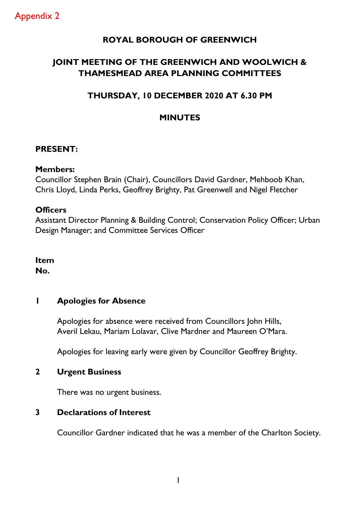## **ROYAL BOROUGH OF GREENWICH**

# **JOINT MEETING OF THE GREENWICH AND WOOLWICH & THAMESMEAD AREA PLANNING COMMITTEES**

## **THURSDAY, 10 DECEMBER 2020 AT 6.30 PM**

## **MINUTES**

### **PRESENT:**

#### **Members:**

Councillor Stephen Brain (Chair), Councillors David Gardner, Mehboob Khan, Chris Lloyd, Linda Perks, Geoffrey Brighty, Pat Greenwell and Nigel Fletcher

### **Officers**

Assistant Director Planning & Building Control; Conservation Policy Officer; Urban Design Manager; and Committee Services Officer

**Item No.** 

## **1 Apologies for Absence**

Apologies for absence were received from Councillors John Hills, Averil Lekau, Mariam Lolavar, Clive Mardner and Maureen O'Mara.

Apologies for leaving early were given by Councillor Geoffrey Brighty.

## **2 Urgent Business**

There was no urgent business.

#### **3 Declarations of Interest**

Councillor Gardner indicated that he was a member of the Charlton Society.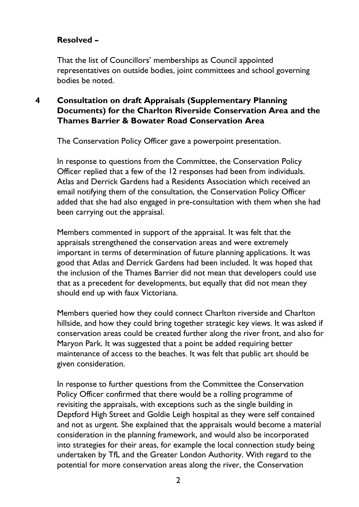## **Resolved –**

That the list of Councillors' memberships as Council appointed representatives on outside bodies, joint committees and school governing bodies be noted.

## **4 Consultation on draft Appraisals (Supplementary Planning Documents) for the Charlton Riverside Conservation Area and the Thames Barrier & Bowater Road Conservation Area**

The Conservation Policy Officer gave a powerpoint presentation.

In response to questions from the Committee, the Conservation Policy Officer replied that a few of the 12 responses had been from individuals. Atlas and Derrick Gardens had a Residents Association which received an email notifying them of the consultation, the Conservation Policy Officer added that she had also engaged in pre-consultation with them when she had been carrying out the appraisal.

Members commented in support of the appraisal. It was felt that the appraisals strengthened the conservation areas and were extremely important in terms of determination of future planning applications. It was good that Atlas and Derrick Gardens had been included. It was hoped that the inclusion of the Thames Barrier did not mean that developers could use that as a precedent for developments, but equally that did not mean they should end up with faux Victoriana.

Members queried how they could connect Charlton riverside and Charlton hillside, and how they could bring together strategic key views. It was asked if conservation areas could be created further along the river front, and also for Maryon Park. It was suggested that a point be added requiring better maintenance of access to the beaches. It was felt that public art should be given consideration.

In response to further questions from the Committee the Conservation Policy Officer confirmed that there would be a rolling programme of revisiting the appraisals, with exceptions such as the single building in Deptford High Street and Goldie Leigh hospital as they were self contained and not as urgent. She explained that the appraisals would become a material consideration in the planning framework, and would also be incorporated into strategies for their areas, for example the local connection study being undertaken by TfL and the Greater London Authority. With regard to the potential for more conservation areas along the river, the Conservation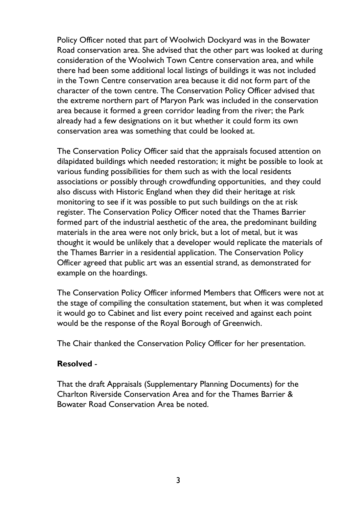Policy Officer noted that part of Woolwich Dockyard was in the Bowater Road conservation area. She advised that the other part was looked at during consideration of the Woolwich Town Centre conservation area, and while there had been some additional local listings of buildings it was not included in the Town Centre conservation area because it did not form part of the character of the town centre. The Conservation Policy Officer advised that the extreme northern part of Maryon Park was included in the conservation area because it formed a green corridor leading from the river; the Park already had a few designations on it but whether it could form its own conservation area was something that could be looked at.

The Conservation Policy Officer said that the appraisals focused attention on dilapidated buildings which needed restoration; it might be possible to look at various funding possibilities for them such as with the local residents associations or possibly through crowdfunding opportunities, and they could also discuss with Historic England when they did their heritage at risk monitoring to see if it was possible to put such buildings on the at risk register. The Conservation Policy Officer noted that the Thames Barrier formed part of the industrial aesthetic of the area, the predominant building materials in the area were not only brick, but a lot of metal, but it was thought it would be unlikely that a developer would replicate the materials of the Thames Barrier in a residential application. The Conservation Policy Officer agreed that public art was an essential strand, as demonstrated for example on the hoardings.

The Conservation Policy Officer informed Members that Officers were not at the stage of compiling the consultation statement, but when it was completed it would go to Cabinet and list every point received and against each point would be the response of the Royal Borough of Greenwich.

The Chair thanked the Conservation Policy Officer for her presentation.

#### **Resolved** -

That the draft Appraisals (Supplementary Planning Documents) for the Charlton Riverside Conservation Area and for the Thames Barrier & Bowater Road Conservation Area be noted.